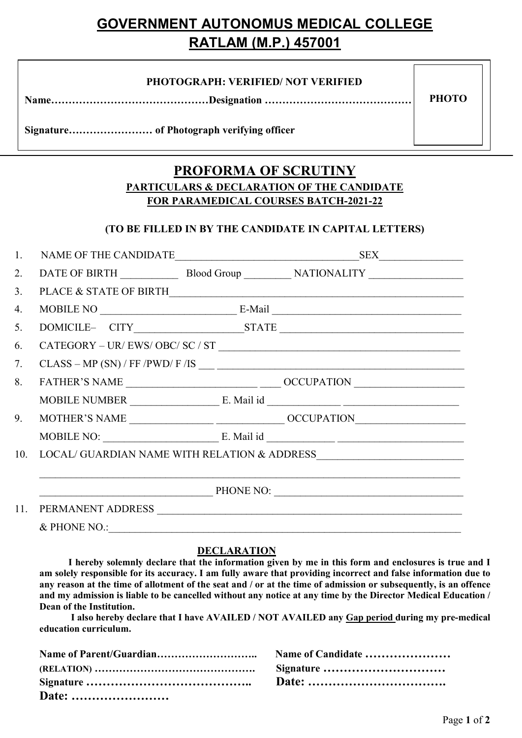# GOVERNMENT AUTONOMUS MEDICAL COLLEGE RATLAM (M.P.) 457001

| <b>PHOTOGRAPH: VERIFIED/ NOT VERIFIED</b> |              |
|-------------------------------------------|--------------|
|                                           | <b>PHOTO</b> |

Signature…………………… of Photograph verifying officer

# PROFORMA OF SCRUTINY PARTICULARS & DECLARATION OF THE CANDIDATE FOR PARAMEDICAL COURSES BATCH-2021-22

 $\overline{a}$ 

## (TO BE FILLED IN BY THE CANDIDATE IN CAPITAL LETTERS)

| 1.  |                                                                                                                                                                                                                                                                                                                                                                                                                                                                                                                                                                                                                                                                                                                       |  |                                                                                          |  |  |  |
|-----|-----------------------------------------------------------------------------------------------------------------------------------------------------------------------------------------------------------------------------------------------------------------------------------------------------------------------------------------------------------------------------------------------------------------------------------------------------------------------------------------------------------------------------------------------------------------------------------------------------------------------------------------------------------------------------------------------------------------------|--|------------------------------------------------------------------------------------------|--|--|--|
| 2.  |                                                                                                                                                                                                                                                                                                                                                                                                                                                                                                                                                                                                                                                                                                                       |  |                                                                                          |  |  |  |
| 3.  |                                                                                                                                                                                                                                                                                                                                                                                                                                                                                                                                                                                                                                                                                                                       |  | PLACE & STATE OF BIRTH $\overline{\phantom{a}}$                                          |  |  |  |
| 4.  |                                                                                                                                                                                                                                                                                                                                                                                                                                                                                                                                                                                                                                                                                                                       |  | $MOBILE NO$ $E-Mail$ $\qquad \qquad$                                                     |  |  |  |
| 5.  |                                                                                                                                                                                                                                                                                                                                                                                                                                                                                                                                                                                                                                                                                                                       |  |                                                                                          |  |  |  |
| 6.  | $\text{CATEGORY} - \text{UR/ EWS/ OBC/ SC / ST } \underline{\text{---}} \underline{\text{---}} \underline{\text{---}} \underline{\text{---}} \underline{\text{---}} \underline{\text{---}} \underline{\text{---}} \underline{\text{---}} \underline{\text{---}} \underline{\text{---}} \underline{\text{---}} \underline{\text{---}} \underline{\text{---}} \underline{\text{---}} \underline{\text{---}} \underline{\text{---}} \underline{\text{---}} \underline{\text{---}} \underline{\text{---}} \underline{\text{---}} \underline{\text{---}} \underline{\text{---}} \underline{\text{---}} \underline{\text{---}} \underline{\text{---}} \underline{\text{---}} \underline{\text{---}} \underline{\text{---}}$ |  |                                                                                          |  |  |  |
| 7.  |                                                                                                                                                                                                                                                                                                                                                                                                                                                                                                                                                                                                                                                                                                                       |  |                                                                                          |  |  |  |
| 8.  |                                                                                                                                                                                                                                                                                                                                                                                                                                                                                                                                                                                                                                                                                                                       |  |                                                                                          |  |  |  |
|     |                                                                                                                                                                                                                                                                                                                                                                                                                                                                                                                                                                                                                                                                                                                       |  |                                                                                          |  |  |  |
| 9.  |                                                                                                                                                                                                                                                                                                                                                                                                                                                                                                                                                                                                                                                                                                                       |  |                                                                                          |  |  |  |
|     |                                                                                                                                                                                                                                                                                                                                                                                                                                                                                                                                                                                                                                                                                                                       |  | MOBILE NO: $E.$ Mail id $\underline{\hspace{1cm}}$ E. Mail id $\underline{\hspace{1cm}}$ |  |  |  |
| 10. |                                                                                                                                                                                                                                                                                                                                                                                                                                                                                                                                                                                                                                                                                                                       |  | $\textbf{LOCAL/ GUARDIAN NAME WITH RELATION \& ADDRESS \_\_\_\_\_\_\_\_ \$               |  |  |  |
|     |                                                                                                                                                                                                                                                                                                                                                                                                                                                                                                                                                                                                                                                                                                                       |  |                                                                                          |  |  |  |
|     |                                                                                                                                                                                                                                                                                                                                                                                                                                                                                                                                                                                                                                                                                                                       |  |                                                                                          |  |  |  |
| 11. |                                                                                                                                                                                                                                                                                                                                                                                                                                                                                                                                                                                                                                                                                                                       |  |                                                                                          |  |  |  |
|     | & PHONE NO.:                                                                                                                                                                                                                                                                                                                                                                                                                                                                                                                                                                                                                                                                                                          |  |                                                                                          |  |  |  |

### DECLARATION

 I hereby solemnly declare that the information given by me in this form and enclosures is true and I am solely responsible for its accuracy. I am fully aware that providing incorrect and false information due to any reason at the time of allotment of the seat and / or at the time of admission or subsequently, is an offence and my admission is liable to be cancelled without any notice at any time by the Director Medical Education / Dean of the Institution.

I also hereby declare that I have AVAILED / NOT AVAILED any Gap period during my pre-medical education curriculum.